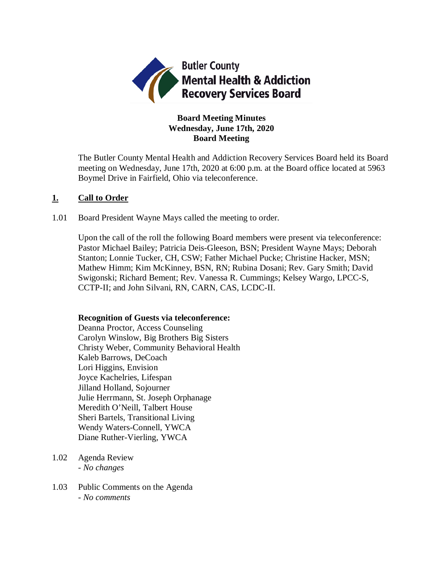

## **Board Meeting Minutes Wednesday, June 17th, 2020 Board Meeting**

The Butler County Mental Health and Addiction Recovery Services Board held its Board meeting on Wednesday, June 17th, 2020 at 6:00 p.m. at the Board office located at 5963 Boymel Drive in Fairfield, Ohio via teleconference.

## **1. Call to Order**

1.01 Board President Wayne Mays called the meeting to order.

Upon the call of the roll the following Board members were present via teleconference: Pastor Michael Bailey; Patricia Deis-Gleeson, BSN; President Wayne Mays; Deborah Stanton; Lonnie Tucker, CH, CSW; Father Michael Pucke; Christine Hacker, MSN; Mathew Himm; Kim McKinney, BSN, RN; Rubina Dosani; Rev. Gary Smith; David Swigonski; Richard Bement; Rev. Vanessa R. Cummings; Kelsey Wargo, LPCC-S, CCTP-II; and John Silvani, RN, CARN, CAS, LCDC-II.

## **Recognition of Guests via teleconference:**

Deanna Proctor, Access Counseling Carolyn Winslow, Big Brothers Big Sisters Christy Weber, Community Behavioral Health Kaleb Barrows, DeCoach Lori Higgins, Envision Joyce Kachelries, Lifespan Jilland Holland, Sojourner Julie Herrmann, St. Joseph Orphanage Meredith O'Neill, Talbert House Sheri Bartels, Transitional Living Wendy Waters-Connell, YWCA Diane Ruther-Vierling, YWCA

- 1.02 Agenda Review *- No changes*
- 1.03 Public Comments on the Agenda - *No comments*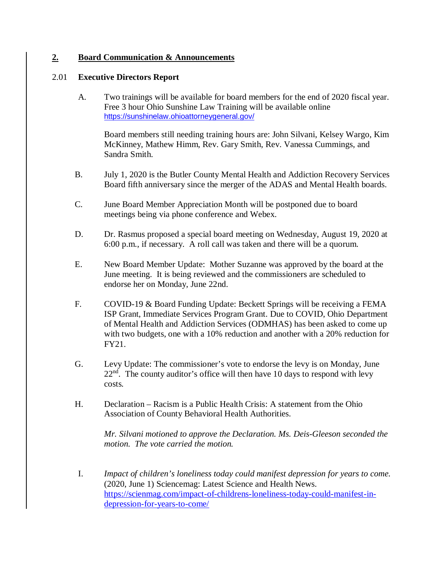## **2. Board Communication & Announcements**

#### 2.01 **Executive Directors Report**

A. Two trainings will be available for board members for the end of 2020 fiscal year. Free 3 hour Ohio Sunshine Law Training will be available online <https://sunshinelaw.ohioattorneygeneral.gov/>

Board members still needing training hours are: John Silvani, Kelsey Wargo, Kim McKinney, Mathew Himm, Rev. Gary Smith, Rev. Vanessa Cummings, and Sandra Smith.

- B. July 1, 2020 is the Butler County Mental Health and Addiction Recovery Services Board fifth anniversary since the merger of the ADAS and Mental Health boards.
- C. June Board Member Appreciation Month will be postponed due to board meetings being via phone conference and Webex.
- D. Dr. Rasmus proposed a special board meeting on Wednesday, August 19, 2020 at 6:00 p.m., if necessary. A roll call was taken and there will be a quorum.
- E. New Board Member Update: Mother Suzanne was approved by the board at the June meeting. It is being reviewed and the commissioners are scheduled to endorse her on Monday, June 22nd.
- F. COVID-19 & Board Funding Update: Beckett Springs will be receiving a FEMA ISP Grant, Immediate Services Program Grant. Due to COVID, Ohio Department of Mental Health and Addiction Services (ODMHAS) has been asked to come up with two budgets, one with a 10% reduction and another with a 20% reduction for FY21.
- G. Levy Update: The commissioner's vote to endorse the levy is on Monday, June  $22<sup>nd</sup>$ . The county auditor's office will then have 10 days to respond with levy costs.
- H. Declaration Racism is a Public Health Crisis: A statement from the Ohio Association of County Behavioral Health Authorities.

*Mr. Silvani motioned to approve the Declaration. Ms. Deis-Gleeson seconded the motion. The vote carried the motion.*

I. *Impact of children's loneliness today could manifest depression for years to come.* (2020, June 1) Sciencemag: Latest Science and Health News. [https://scienmag.com/impact-of-childrens-loneliness-today-could-manifest-in](https://scienmag.com/impact-of-childrens-loneliness-today-could-manifest-in-depression-for-years-to-come/)[depression-for-years-to-come/](https://scienmag.com/impact-of-childrens-loneliness-today-could-manifest-in-depression-for-years-to-come/)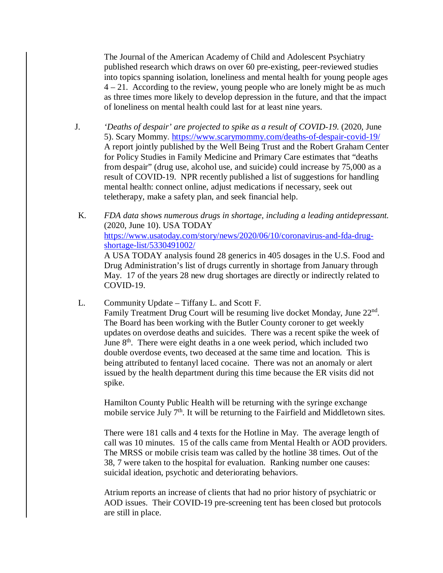The Journal of the American Academy of Child and Adolescent Psychiatry published research which draws on over 60 pre-existing, peer-reviewed studies into topics spanning isolation, loneliness and mental health for young people ages  $4 - 21$ . According to the review, young people who are lonely might be as much as three times more likely to develop depression in the future, and that the impact of loneliness on mental health could last for at least nine years.

- J. *'Deaths of despair' are projected to spike as a result of COVID-19.* (2020, June 5). Scary Mommy. <https://www.scarymommy.com/deaths-of-despair-covid-19/> A report jointly published by the Well Being Trust and the Robert Graham Center for Policy Studies in Family Medicine and Primary Care estimates that "deaths from despair" (drug use, alcohol use, and suicide) could increase by 75,000 as a result of COVID-19. NPR recently published a list of suggestions for handling mental health: connect online, adjust medications if necessary, seek out teletherapy, make a safety plan, and seek financial help.
- K. *FDA data shows numerous drugs in shortage, including a leading antidepressant.*  (2020, June 10). USA TODAY [https://www.usatoday.com/story/news/2020/06/10/coronavirus-and-fda-drug](https://www.usatoday.com/story/news/2020/06/10/coronavirus-and-fda-drug-shortage-list/5330491002/)[shortage-list/5330491002/](https://www.usatoday.com/story/news/2020/06/10/coronavirus-and-fda-drug-shortage-list/5330491002/) A USA TODAY analysis found 28 generics in 405 dosages in the U.S. Food and Drug Administration's list of drugs currently in shortage from January through May. 17 of the years 28 new drug shortages are directly or indirectly related to COVID-19.
- L. Community Update Tiffany L. and Scott F. Family Treatment Drug Court will be resuming live docket Monday, June 22<sup>nd</sup>. The Board has been working with the Butler County coroner to get weekly updates on overdose deaths and suicides. There was a recent spike the week of June  $8<sup>th</sup>$ . There were eight deaths in a one week period, which included two double overdose events, two deceased at the same time and location. This is being attributed to fentanyl laced cocaine. There was not an anomaly or alert issued by the health department during this time because the ER visits did not spike.

Hamilton County Public Health will be returning with the syringe exchange mobile service July 7<sup>th</sup>. It will be returning to the Fairfield and Middletown sites.

There were 181 calls and 4 texts for the Hotline in May. The average length of call was 10 minutes. 15 of the calls came from Mental Health or AOD providers. The MRSS or mobile crisis team was called by the hotline 38 times. Out of the 38, 7 were taken to the hospital for evaluation. Ranking number one causes: suicidal ideation, psychotic and deteriorating behaviors.

Atrium reports an increase of clients that had no prior history of psychiatric or AOD issues. Their COVID-19 pre-screening tent has been closed but protocols are still in place.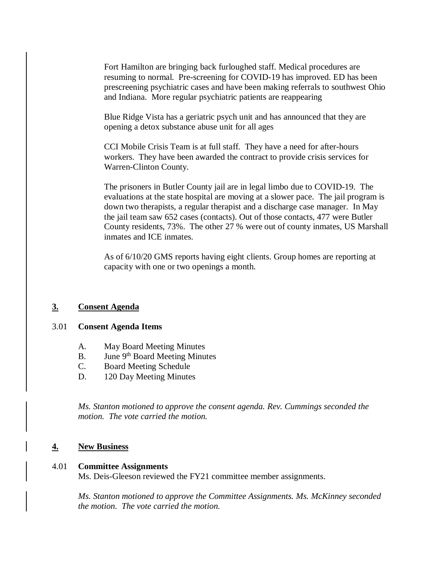Fort Hamilton are bringing back furloughed staff. Medical procedures are resuming to normal. Pre-screening for COVID-19 has improved. ED has been prescreening psychiatric cases and have been making referrals to southwest Ohio and Indiana. More regular psychiatric patients are reappearing

Blue Ridge Vista has a geriatric psych unit and has announced that they are opening a detox substance abuse unit for all ages

CCI Mobile Crisis Team is at full staff. They have a need for after-hours workers. They have been awarded the contract to provide crisis services for Warren-Clinton County.

The prisoners in Butler County jail are in legal limbo due to COVID-19. The evaluations at the state hospital are moving at a slower pace. The jail program is down two therapists, a regular therapist and a discharge case manager. In May the jail team saw 652 cases (contacts). Out of those contacts, 477 were Butler County residents, 73%. The other 27 % were out of county inmates, US Marshall inmates and ICE inmates.

As of 6/10/20 GMS reports having eight clients. Group homes are reporting at capacity with one or two openings a month.

## **3. Consent Agenda**

#### 3.01 **Consent Agenda Items**

- A. May Board Meeting Minutes
- B. June 9<sup>th</sup> Board Meeting Minutes<br>C. Board Meeting Schedule
- Board Meeting Schedule
- D. 120 Day Meeting Minutes

*Ms. Stanton motioned to approve the consent agenda. Rev. Cummings seconded the motion. The vote carried the motion.*

## **4. New Business**

## 4.01 **Committee Assignments**

Ms. Deis-Gleeson reviewed the FY21 committee member assignments.

*Ms. Stanton motioned to approve the Committee Assignments. Ms. McKinney seconded the motion. The vote carried the motion.*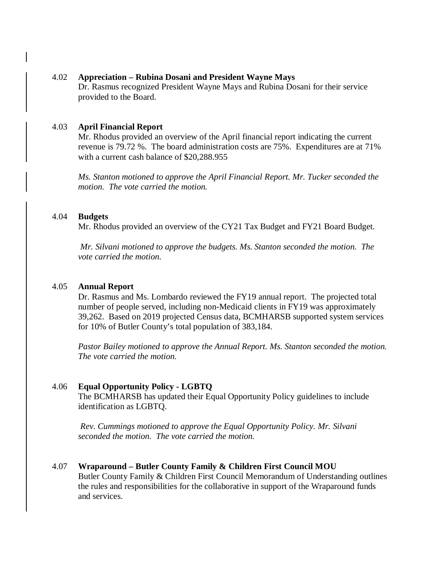## 4.02 **Appreciation – Rubina Dosani and President Wayne Mays**

Dr. Rasmus recognized President Wayne Mays and Rubina Dosani for their service provided to the Board.

## 4.03 **April Financial Report**

Mr. Rhodus provided an overview of the April financial report indicating the current revenue is 79.72 %. The board administration costs are 75%. Expenditures are at 71% with a current cash balance of \$20,288.955

*Ms. Stanton motioned to approve the April Financial Report. Mr. Tucker seconded the motion. The vote carried the motion.*

#### 4.04 **Budgets**

Mr. Rhodus provided an overview of the CY21 Tax Budget and FY21 Board Budget.

*Mr. Silvani motioned to approve the budgets. Ms. Stanton seconded the motion. The vote carried the motion.*

#### 4.05 **Annual Report**

Dr. Rasmus and Ms. Lombardo reviewed the FY19 annual report. The projected total number of people served, including non-Medicaid clients in FY19 was approximately 39,262. Based on 2019 projected Census data, BCMHARSB supported system services for 10% of Butler County's total population of 383,184.

*Pastor Bailey motioned to approve the Annual Report. Ms. Stanton seconded the motion. The vote carried the motion.*

## 4.06 **Equal Opportunity Policy - LGBTQ**

The BCMHARSB has updated their Equal Opportunity Policy guidelines to include identification as LGBTQ.

*Rev. Cummings motioned to approve the Equal Opportunity Policy. Mr. Silvani seconded the motion. The vote carried the motion.*

#### 4.07 **Wraparound – Butler County Family & Children First Council MOU**

Butler County Family & Children First Council Memorandum of Understanding outlines the rules and responsibilities for the collaborative in support of the Wraparound funds and services.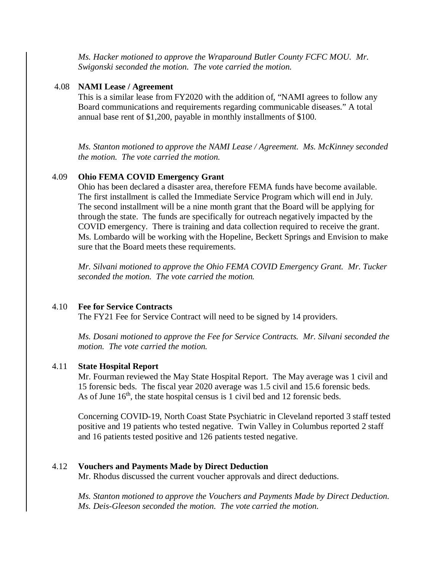*Ms. Hacker motioned to approve the Wraparound Butler County FCFC MOU. Mr. Swigonski seconded the motion. The vote carried the motion.*

## 4.08 **NAMI Lease / Agreement**

This is a similar lease from FY2020 with the addition of, "NAMI agrees to follow any Board communications and requirements regarding communicable diseases." A total annual base rent of \$1,200, payable in monthly installments of \$100.

*Ms. Stanton motioned to approve the NAMI Lease / Agreement. Ms. McKinney seconded the motion. The vote carried the motion.* 

## 4.09 **Ohio FEMA COVID Emergency Grant**

Ohio has been declared a disaster area, therefore FEMA funds have become available. The first installment is called the Immediate Service Program which will end in July. The second installment will be a nine month grant that the Board will be applying for through the state. The funds are specifically for outreach negatively impacted by the COVID emergency. There is training and data collection required to receive the grant. Ms. Lombardo will be working with the Hopeline, Beckett Springs and Envision to make sure that the Board meets these requirements.

*Mr. Silvani motioned to approve the Ohio FEMA COVID Emergency Grant. Mr. Tucker seconded the motion. The vote carried the motion.* 

## 4.10 **Fee for Service Contracts**

The FY21 Fee for Service Contract will need to be signed by 14 providers.

*Ms. Dosani motioned to approve the Fee for Service Contracts. Mr. Silvani seconded the motion. The vote carried the motion.* 

## 4.11 **State Hospital Report**

Mr. Fourman reviewed the May State Hospital Report. The May average was 1 civil and 15 forensic beds. The fiscal year 2020 average was 1.5 civil and 15.6 forensic beds. As of June  $16<sup>th</sup>$ , the state hospital census is 1 civil bed and 12 forensic beds.

Concerning COVID-19, North Coast State Psychiatric in Cleveland reported 3 staff tested positive and 19 patients who tested negative. Twin Valley in Columbus reported 2 staff and 16 patients tested positive and 126 patients tested negative.

#### 4.12 **Vouchers and Payments Made by Direct Deduction**

Mr. Rhodus discussed the current voucher approvals and direct deductions.

*Ms. Stanton motioned to approve the Vouchers and Payments Made by Direct Deduction. Ms. Deis-Gleeson seconded the motion. The vote carried the motion.*